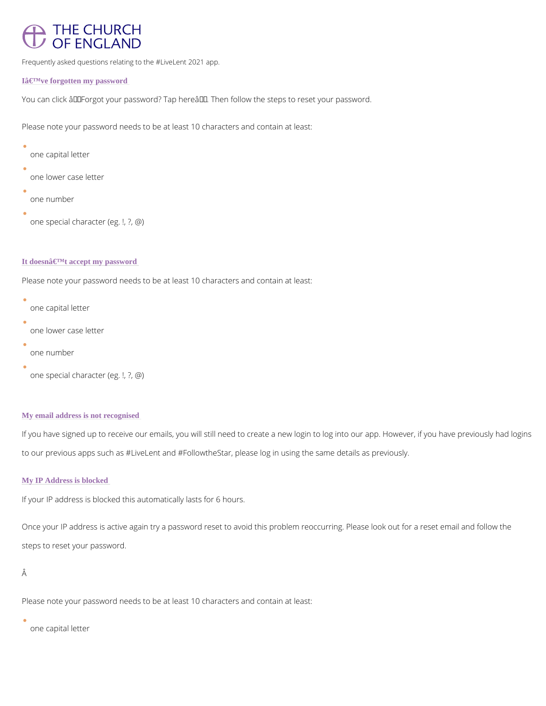# **THE CHURCH OF ENGLAND**

Frequently asked questions relating to the #LiveLent 2021 app.

I've forgotten my password

You can click â€~Forgot your password? Tap here'. Then follow the steps to reset your pa

```
\bulletone capital letter
 one lower case letter
 one number
 one special character (eg. !, ?, @)
```
## It doesn't accept my password

Please note your password needs to be at least 10 characters and contain at least:

```
\bulletone capital letter
 one lower case letter
 one number
 one special character (eg. !, ?, @)
```
Please note your password needs to be at least 10 characters and contain at least:

### My email address is not recognised

If you have signed up to receive our emails, you will still need to create a new login to log i to our previous apps such as #LiveLent and #FollowtheStar, please log in using the same det

## My IP Address is blocked

If your IP address is blocked this automatically lasts for 6 hours.

Once your IP address is active again try a password reset to avoid this problem reoccurring.

steps to reset your password.

Â

Please note your password needs to be at least 10 characters and contain at least:

one capital letter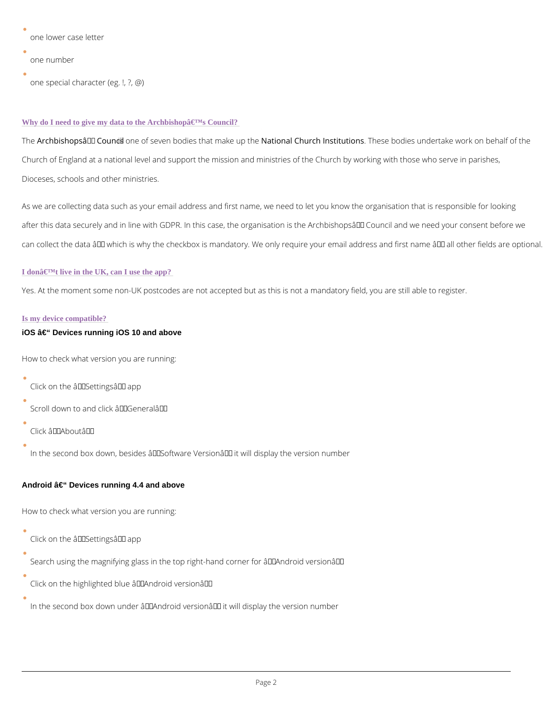```
one lower case letter
one number
one special character (eg. !, ?, @)
```
#### Why do I need to give my data to the Archbishop $\hat{a} \in \mathbb{N}$ s Council?

TheArchbishopsâ $\in$  TMs Coune nocfils even bodies that a tmoankael uCphothech InstTinuetsien has dies undertake work o Church of England at a national level and support the mission and ministries of the Church b Dioceses, schools and other ministries.

As we are collecting data such as your email address and first name, we need to let you know after this data securely and in line with GDPR. In this case, the organisation is the Archbish can collect the data  $\hat{a} \in$  "which is why the checkbox is mandatory. We only require your email

### I don $\hat{a} \in \mathbb{M}$  live in the UK, can I use the app?

Yes. At the moment some non-UK postcodes are not accepted but as this is not a mandatory field.

#### Is my device compatible?

iOS  $\hat{a} \in \mathcal{C}$  Devices running iOS 10 and above

How to check what version you are running:

Click on the  $\hat{a} \in \tilde{S}$  settings  $\hat{a} \in \tilde{S}$  app

Scroll down to and click  $a \in \tilde{a}$  General $a \in \mathbb{M}$ 

Click  $\hat{a} \in \tilde{A}$  About  $\hat{a} \in \tilde{A}$ 

 $\bullet$ 

In the second box down, besides  $\hat{a} \in \tilde{S}$  Software Version $\hat{a} \in \tilde{I}^M$  it will display the version numbe

Android  $\hat{a} \in$ " Devices running 4.4 and above

How to check what version you are running:

Click on the  $\hat{a} \in \tilde{S}$  Settings $\hat{a} \in \tilde{S}$  app

Search using the magnifying glass in the top right-hand corner for  $\hat{a} \in \tilde{A}$  Android version $\hat{a} \in \tilde{A}$ 

Click on the highlighted blue  $\hat{a} \in \tilde{A}$  android version $\hat{a} \in \tilde{A}$ 

In the second box down under  $\hat{a} \in \tilde{a}$  Android version $\hat{a} \in \tilde{a}$  it will display the version number